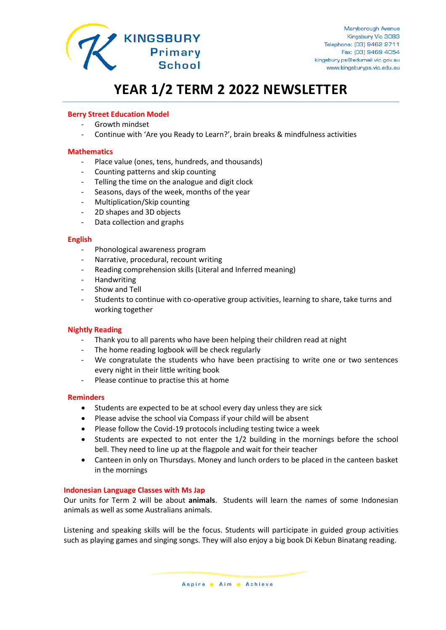

# **YEAR 1/2 TERM 2 2022 NEWSLETTER**

## **Berry Street Education Model**

- Growth mindset
- Continue with 'Are you Ready to Learn?', brain breaks & mindfulness activities

#### **Mathematics**

- Place value (ones, tens, hundreds, and thousands)
- Counting patterns and skip counting
- Telling the time on the analogue and digit clock
- Seasons, days of the week, months of the year
- Multiplication/Skip counting
- 2D shapes and 3D objects
- Data collection and graphs

#### **English**

- Phonological awareness program
- Narrative, procedural, recount writing
- Reading comprehension skills (Literal and Inferred meaning)
- **Handwriting**
- Show and Tell
- Students to continue with co-operative group activities, learning to share, take turns and working together

### **Nightly Reading**

- Thank you to all parents who have been helping their children read at night
- The home reading logbook will be check regularly
- We congratulate the students who have been practising to write one or two sentences every night in their little writing book
- Please continue to practise this at home

### **Reminders**

- Students are expected to be at school every day unless they are sick
- Please advise the school via Compass if your child will be absent
- Please follow the Covid-19 protocols including testing twice a week
- Students are expected to not enter the 1/2 building in the mornings before the school bell. They need to line up at the flagpole and wait for their teacher
- Canteen in only on Thursdays. Money and lunch orders to be placed in the canteen basket in the mornings

### **Indonesian Language Classes with Ms Jap**

Our units for Term 2 will be about **animals**. Students will learn the names of some Indonesian animals as well as some Australians animals.

Listening and speaking skills will be the focus. Students will participate in guided group activities such as playing games and singing songs. They will also enjoy a big book Di Kebun Binatang reading.